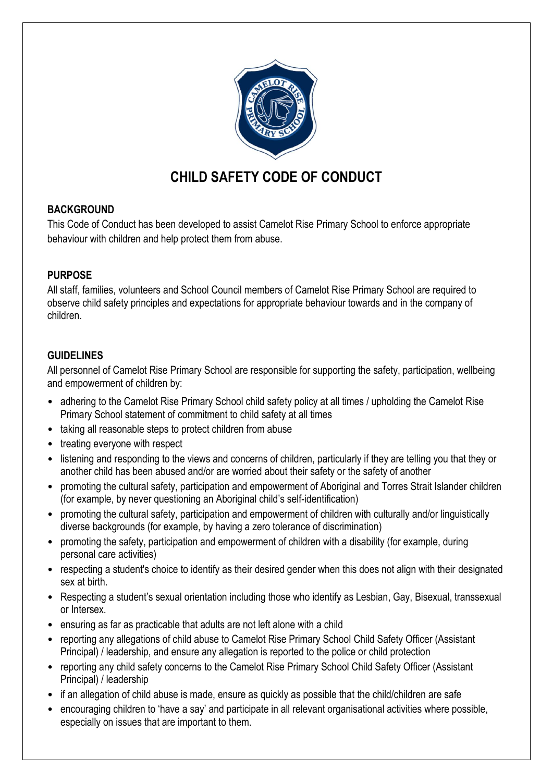

# **CHILD SAFETY CODE OF CONDUCT**

## **BACKGROUND**

This Code of Conduct has been developed to assist Camelot Rise Primary School to enforce appropriate behaviour with children and help protect them from abuse.

## **PURPOSE**

All staff, families, volunteers and School Council members of Camelot Rise Primary School are required to observe child safety principles and expectations for appropriate behaviour towards and in the company of children.

## **GUIDELINES**

All personnel of Camelot Rise Primary School are responsible for supporting the safety, participation, wellbeing and empowerment of children by:

- adhering to the Camelot Rise Primary School child safety policy at all times / upholding the Camelot Rise Primary School statement of commitment to child safety at all times
- taking all reasonable steps to protect children from abuse
- treating everyone with respect
- listening and responding to the views and concerns of children, particularly if they are telling you that they or another child has been abused and/or are worried about their safety or the safety of another
- promoting the cultural safety, participation and empowerment of Aboriginal and Torres Strait Islander children (for example, by never questioning an Aboriginal child's self-identification)
- promoting the cultural safety, participation and empowerment of children with culturally and/or linguistically diverse backgrounds (for example, by having a zero tolerance of discrimination)
- promoting the safety, participation and empowerment of children with a disability (for example, during personal care activities)
- respecting a student's choice to identify as their desired gender when this does not align with their designated sex at birth.
- Respecting a student's sexual orientation including those who identify as Lesbian, Gay, Bisexual, transsexual or Intersex.
- ensuring as far as practicable that adults are not left alone with a child
- reporting any allegations of child abuse to Camelot Rise Primary School Child Safety Officer (Assistant Principal) / leadership, and ensure any allegation is reported to the police or child protection
- reporting any child safety concerns to the Camelot Rise Primary School Child Safety Officer (Assistant Principal) / leadership
- if an allegation of child abuse is made, ensure as quickly as possible that the child/children are safe
- encouraging children to 'have a say' and participate in all relevant organisational activities where possible, especially on issues that are important to them.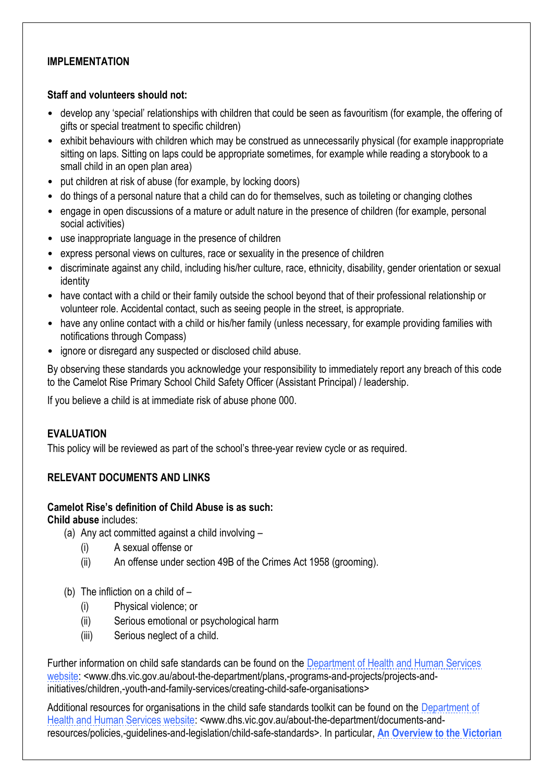### **IMPLEMENTATION**

#### **Staff and volunteers should not:**

- develop any 'special' relationships with children that could be seen as favouritism (for example, the offering of gifts or special treatment to specific children)
- exhibit behaviours with children which may be construed as unnecessarily physical (for example inappropriate sitting on laps. Sitting on laps could be appropriate sometimes, for example while reading a storybook to a small child in an open plan area)
- put children at risk of abuse (for example, by locking doors)
- do things of a personal nature that a child can do for themselves, such as toileting or changing clothes
- engage in open discussions of a mature or adult nature in the presence of children (for example, personal social activities)
- use inappropriate language in the presence of children
- express personal views on cultures, race or sexuality in the presence of children
- discriminate against any child, including his/her culture, race, ethnicity, disability, gender orientation or sexual identity
- have contact with a child or their family outside the school beyond that of their professional relationship or volunteer role. Accidental contact, such as seeing people in the street, is appropriate.
- have any online contact with a child or his/her family (unless necessary, for example providing families with notifications through Compass)
- ignore or disregard any suspected or disclosed child abuse.

By observing these standards you acknowledge your responsibility to immediately report any breach of this code to the Camelot Rise Primary School Child Safety Officer (Assistant Principal) / leadership.

If you believe a child is at immediate risk of abuse phone 000.

#### **EVALUATION**

This policy will be reviewed as part of the school's three-year review cycle or as required.

#### **RELEVANT DOCUMENTS AND LINKS**

#### **Camelot Rise's definition of Child Abuse is as such:**

**Child abuse** includes:

- (a) Any act committed against a child involving
	- (i) A sexual offense or
	- (ii) An offense under section 49B of the Crimes Act 1958 (grooming).
- (b) The infliction on a child of
	- (i) Physical violence; or
	- (ii) Serious emotional or psychological harm
	- (iii) Serious neglect of a child.

Further information on child safe standards can be found on the Department of Health and Human Services [website:](http://www.dhs.vic.gov.au/about-the-department/plans,-programs-and-projects/projects-and-initiatives/children,-youth-and-family-services/creating-child-safe-organisations) <www.dhs.vic.gov.au/about-the-department/plans,-programs-and-projects/projects-andinitiatives/children,-youth-and-family-services/creating-child-safe-organisations>

Additional resources for organisations in the child safe standards toolkit can be found on the [Department of](http://www.dhs.vic.gov.au/about-the-department/documents-and-resources/policies,-guidelines-and-legislation/child-safe-standards)  [Health and Human Services website:](http://www.dhs.vic.gov.au/about-the-department/documents-and-resources/policies,-guidelines-and-legislation/child-safe-standards) <www.dhs.vic.gov.au/about-the-department/documents-andresources/policies,-guidelines-and-legislation/child-safe-standards>. In particular, **[An Overview to the Victorian](http://www.dhs.vic.gov.au/__data/assets/word_doc/0005/955598/Child-safe-standards_overview.doc)**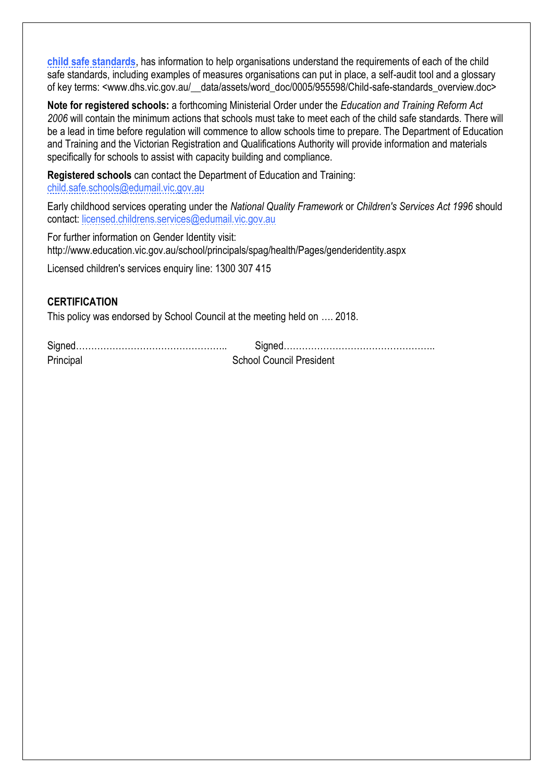**[child safe standards](http://www.dhs.vic.gov.au/__data/assets/word_doc/0005/955598/Child-safe-standards_overview.doc)**, has information to help organisations understand the requirements of each of the child safe standards, including examples of measures organisations can put in place, a self-audit tool and a glossary of key terms: <www.dhs.vic.gov.au/ data/assets/word\_doc/0005/955598/Child-safe-standards\_overview.doc>

**Note for registered schools:** a forthcoming Ministerial Order under the *Education and Training Reform Act 2006* will contain the minimum actions that schools must take to meet each of the child safe standards. There will be a lead in time before regulation will commence to allow schools time to prepare. The Department of Education and Training and the Victorian Registration and Qualifications Authority will provide information and materials specifically for schools to assist with capacity building and compliance.

**Registered schools** can contact the Department of Education and Training: [child.safe.schools@edumail.vic.gov.au](mailto:child.safe.schools@edumail.vic.gov.au)

Early childhood services operating under the *National Quality Framework* or *Children's Services Act 1996* should contact: [licensed.childrens.services@edumail.vic.gov.au](mailto:licensed.childrens.services@edumail.vic.gov.au)

For further information on Gender Identity visit: http://www.education.vic.gov.au/school/principals/spag/health/Pages/genderidentity.aspx

Licensed children's services enquiry line: 1300 307 415

### **CERTIFICATION**

This policy was endorsed by School Council at the meeting held on …. 2018.

| Principal | <b>School Council President</b> |
|-----------|---------------------------------|